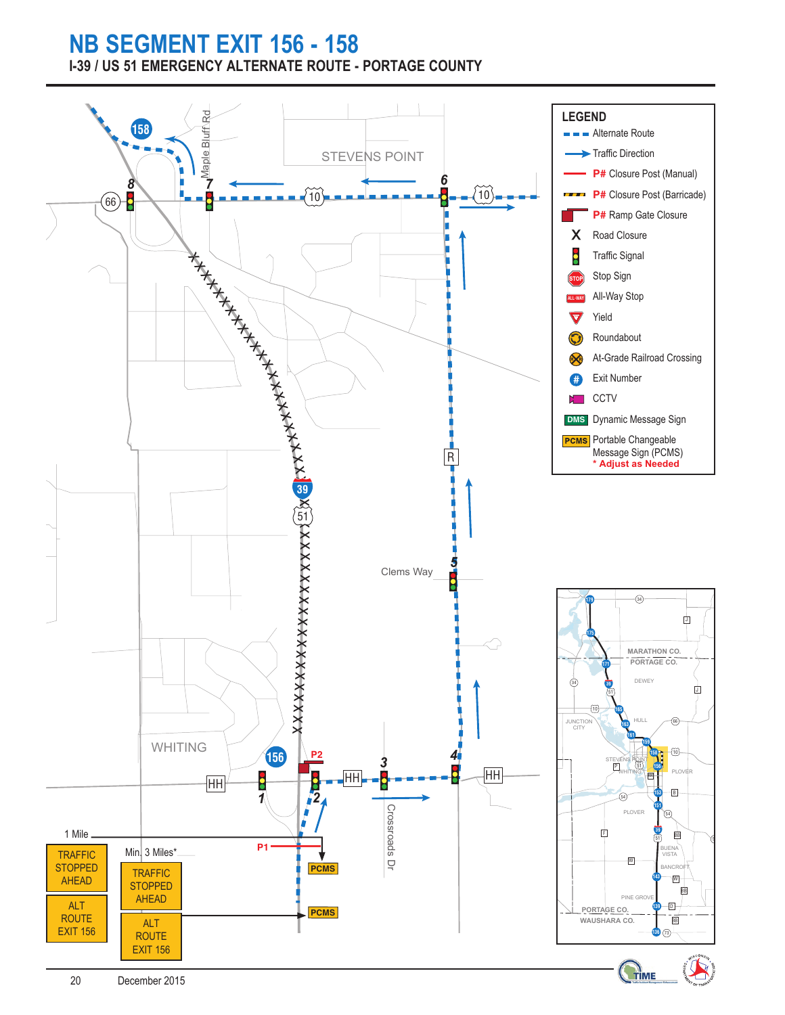## **NB SEGMENT EXIT 156 - 158 I-39 / US 51 EMERGENCY ALTERNATE ROUTE - PORTAGE COUNTY**